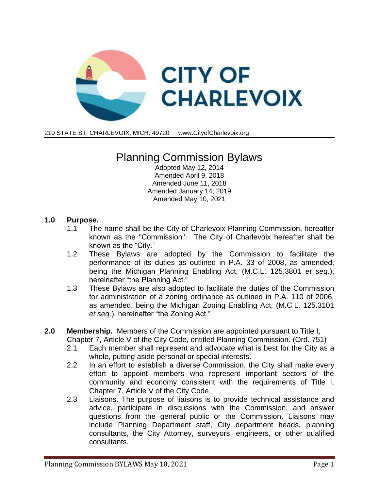

210 STATE ST. CHARLEVOIX, MICH. 49720 [www.CityofC](http://www.cityof/)harlevoix.org

# Planning Commission Bylaws

Adopted May 12, 2014 Amended April 9, 2018 Amended June 11, 2018 Amended January 14, 2019 Amended May 10, 2021

#### **1.0 Purpose.**

- 1.1 The name shall be the City of Charlevoix Planning Commission, hereafter known as the "Commission". The City of Charlevoix hereafter shall be known as the "City."
- 1.2 These Bylaws are adopted by the Commission to facilitate the performance of its duties as outlined in P.A. 33 of 2008, as amended, being the Michigan Planning Enabling Act, (M.C.L. 125.3801 *et seq.*), hereinafter "the Planning Act."
- 1.3 These Bylaws are also adopted to facilitate the duties of the Commission for administration of a zoning ordinance as outlined in P.A. 110 of 2006, as amended, being the Michigan Zoning Enabling Act, (M.C.L. 125.3101 *et seq.*), hereinafter "the Zoning Act."
- **2.0 Membership.** Members of the Commission are appointed pursuant to Title I, Chapter 7, Article V of the City Code, entitled Planning Commission. (Ord. 751)
	- 2.1 Each member shall represent and advocate what is best for the City as a whole, putting aside personal or special interests.
	- 2.2 In an effort to establish a diverse Commission, the City shall make every effort to appoint members who represent important sectors of the community and economy consistent with the requirements of Title I, Chapter 7, Article V of the City Code.
	- 2.3 Liaisons. The purpose of liaisons is to provide technical assistance and advice, participate in discussions with the Commission, and answer questions from the general public or the Commission. Liaisons may include Planning Department staff, City department heads, planning consultants, the City Attorney, surveyors, engineers, or other qualified consultants.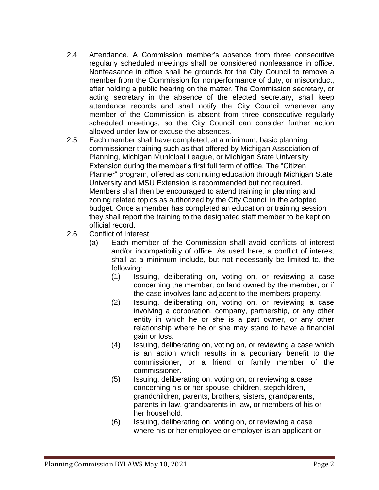- 2.4 Attendance. A Commission member's absence from three consecutive regularly scheduled meetings shall be considered nonfeasance in office. Nonfeasance in office shall be grounds for the City Council to remove a member from the Commission for nonperformance of duty, or misconduct, after holding a public hearing on the matter. The Commission secretary, or acting secretary in the absence of the elected secretary, shall keep attendance records and shall notify the City Council whenever any member of the Commission is absent from three consecutive regularly scheduled meetings, so the City Council can consider further action allowed under law or excuse the absences.
- 2.5 Each member shall have completed, at a minimum, basic planning commissioner training such as that offered by Michigan Association of Planning, Michigan Municipal League, or Michigan State University Extension during the member's first full term of office. The "Citizen Planner" program, offered as continuing education through Michigan State University and MSU Extension is recommended but not required. Members shall then be encouraged to attend training in planning and zoning related topics as authorized by the City Council in the adopted budget. Once a member has completed an education or training session they shall report the training to the designated staff member to be kept on official record.
- 2.6 Conflict of Interest
	- (a) Each member of the Commission shall avoid conflicts of interest and/or incompatibility of office. As used here, a conflict of interest shall at a minimum include, but not necessarily be limited to, the following:
		- (1) Issuing, deliberating on, voting on, or reviewing a case concerning the member, on land owned by the member, or if the case involves land adjacent to the members property.
		- (2) Issuing, deliberating on, voting on, or reviewing a case involving a corporation, company, partnership, or any other entity in which he or she is a part owner, or any other relationship where he or she may stand to have a financial gain or loss.
		- (4) Issuing, deliberating on, voting on, or reviewing a case which is an action which results in a pecuniary benefit to the commissioner, or a friend or family member of the commissioner.
		- (5) Issuing, deliberating on, voting on, or reviewing a case concerning his or her spouse, children, stepchildren, grandchildren, parents, brothers, sisters, grandparents, parents in-law, grandparents in-law, or members of his or her household.
		- (6) Issuing, deliberating on, voting on, or reviewing a case where his or her employee or employer is an applicant or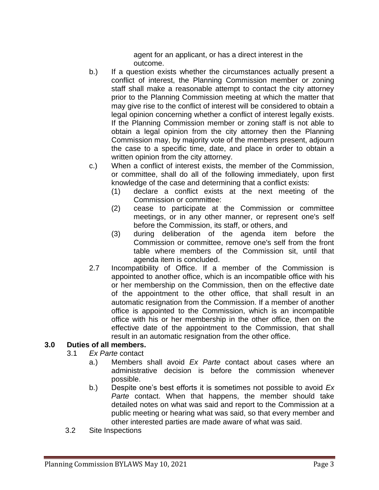agent for an applicant, or has a direct interest in the outcome.

- b.) If a question exists whether the circumstances actually present a conflict of interest, the Planning Commission member or zoning staff shall make a reasonable attempt to contact the city attorney prior to the Planning Commission meeting at which the matter that may give rise to the conflict of interest will be considered to obtain a legal opinion concerning whether a conflict of interest legally exists. If the Planning Commission member or zoning staff is not able to obtain a legal opinion from the city attorney then the Planning Commission may, by majority vote of the members present, adjourn the case to a specific time, date, and place in order to obtain a written opinion from the city attorney.
- c.) When a conflict of interest exists, the member of the Commission, or committee, shall do all of the following immediately, upon first knowledge of the case and determining that a conflict exists:
	- (1) declare a conflict exists at the next meeting of the Commission or committee:
	- (2) cease to participate at the Commission or committee meetings, or in any other manner, or represent one's self before the Commission, its staff, or others, and
	- (3) during deliberation of the agenda item before the Commission or committee, remove one's self from the front table where members of the Commission sit, until that agenda item is concluded.
- 2.7 Incompatibility of Office. If a member of the Commission is appointed to another office, which is an incompatible office with his or her membership on the Commission, then on the effective date of the appointment to the other office, that shall result in an automatic resignation from the Commission. If a member of another office is appointed to the Commission, which is an incompatible office with his or her membership in the other office, then on the effective date of the appointment to the Commission, that shall result in an automatic resignation from the other office.

### **3.0 Duties of all members.**

- 3.1 *Ex Parte* contact
	- a.) Members shall avoid *Ex Parte* contact about cases where an administrative decision is before the commission whenever possible.
	- b.) Despite one's best efforts it is sometimes not possible to avoid *Ex Parte* contact. When that happens, the member should take detailed notes on what was said and report to the Commission at a public meeting or hearing what was said, so that every member and other interested parties are made aware of what was said.
- 3.2 Site Inspections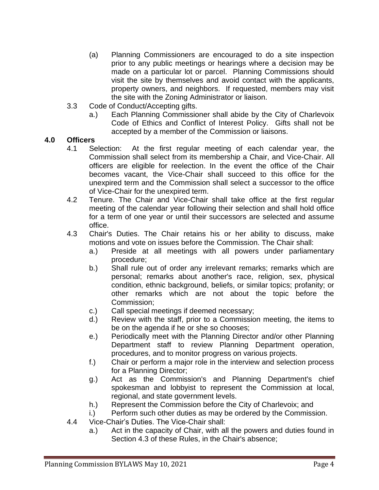- (a) Planning Commissioners are encouraged to do a site inspection prior to any public meetings or hearings where a decision may be made on a particular lot or parcel. Planning Commissions should visit the site by themselves and avoid contact with the applicants, property owners, and neighbors. If requested, members may visit the site with the Zoning Administrator or liaison.
- 3.3 Code of Conduct/Accepting gifts.
	- a.) Each Planning Commissioner shall abide by the City of Charlevoix Code of Ethics and Conflict of Interest Policy. Gifts shall not be accepted by a member of the Commission or liaisons.

#### **4.0 Officers**

- 4.1 Selection: At the first regular meeting of each calendar year, the Commission shall select from its membership a Chair, and Vice-Chair. All officers are eligible for reelection. In the event the office of the Chair becomes vacant, the Vice-Chair shall succeed to this office for the unexpired term and the Commission shall select a successor to the office of Vice-Chair for the unexpired term.
- 4.2 Tenure. The Chair and Vice-Chair shall take office at the first regular meeting of the calendar year following their selection and shall hold office for a term of one year or until their successors are selected and assume office.
- 4.3 Chair's Duties. The Chair retains his or her ability to discuss, make motions and vote on issues before the Commission. The Chair shall:
	- a.) Preside at all meetings with all powers under parliamentary procedure;
	- b.) Shall rule out of order any irrelevant remarks; remarks which are personal; remarks about another's race, religion, sex, physical condition, ethnic background, beliefs, or similar topics; profanity; or other remarks which are not about the topic before the Commission;
	- c.) Call special meetings if deemed necessary;
	- d.) Review with the staff, prior to a Commission meeting, the items to be on the agenda if he or she so chooses;
	- e.) Periodically meet with the Planning Director and/or other Planning Department staff to review Planning Department operation, procedures, and to monitor progress on various projects.
	- f.) Chair or perform a major role in the interview and selection process for a Planning Director;
	- g.) Act as the Commission's and Planning Department's chief spokesman and lobbyist to represent the Commission at local, regional, and state government levels.
	- h.) Represent the Commission before the City of Charlevoix; and
	- i.) Perform such other duties as may be ordered by the Commission.
- 4.4 Vice-Chair's Duties. The Vice-Chair shall:
	- a.) Act in the capacity of Chair, with all the powers and duties found in Section 4.3 of these Rules, in the Chair's absence;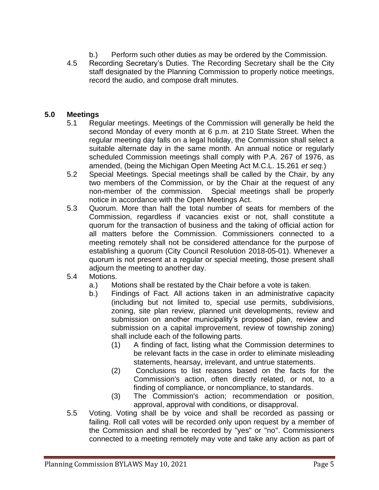- b.) Perform such other duties as may be ordered by the Commission.
- 4.5 Recording Secretary's Duties. The Recording Secretary shall be the City staff designated by the Planning Commission to properly notice meetings, record the audio, and compose draft minutes.

#### **5.0 Meetings**

- 5.1 Regular meetings. Meetings of the Commission will generally be held the second Monday of every month at 6 p.m. at 210 State Street. When the regular meeting day falls on a legal holiday, the Commission shall select a suitable alternate day in the same month. An annual notice or regularly scheduled Commission meetings shall comply with P.A. 267 of 1976, as amended, (being the Michigan Open Meeting Act M.C.L. 15.261 *et seq.*)
- 5.2 Special Meetings. Special meetings shall be called by the Chair, by any two members of the Commission, or by the Chair at the request of any non-member of the commission. Special meetings shall be properly notice in accordance with the Open Meetings Act.
- 5.3 Quorum. More than half the total number of seats for members of the Commission, regardless if vacancies exist or not, shall constitute a quorum for the transaction of business and the taking of official action for all matters before the Commission. Commissioners connected to a meeting remotely shall not be considered attendance for the purpose of establishing a quorum (City Council Resolution 2018-05-01). Whenever a quorum is not present at a regular or special meeting, those present shall adjourn the meeting to another day.
- 5.4 Motions.
	- a.) Motions shall be restated by the Chair before a vote is taken.
	- b.) Findings of Fact. All actions taken in an administrative capacity (including but not limited to, special use permits, subdivisions, zoning, site plan review, planned unit developments, review and submission on another municipality's proposed plan, review and submission on a capital improvement, review of township zoning) shall include each of the following parts.
		- (1) A finding of fact, listing what the Commission determines to be relevant facts in the case in order to eliminate misleading statements, hearsay, irrelevant, and untrue statements.
		- (2) Conclusions to list reasons based on the facts for the Commission's action, often directly related, or not, to a finding of compliance, or noncompliance, to standards.
		- (3) The Commission's action; recommendation or position, approval, approval with conditions, or disapproval.
- 5.5 Voting. Voting shall be by voice and shall be recorded as passing or failing. Roll call votes will be recorded only upon request by a member of the Commission and shall be recorded by "yes" or "no". Commissioners connected to a meeting remotely may vote and take any action as part of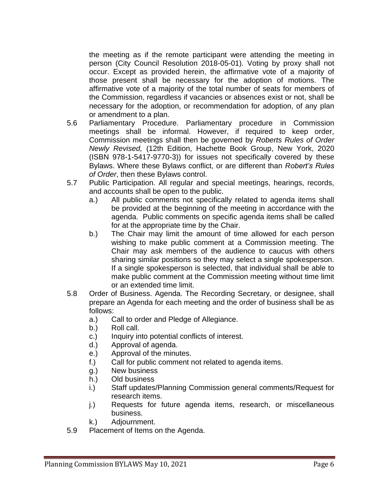the meeting as if the remote participant were attending the meeting in person (City Council Resolution 2018-05-01). Voting by proxy shall not occur. Except as provided herein, the affirmative vote of a majority of those present shall be necessary for the adoption of motions. The affirmative vote of a majority of the total number of seats for members of the Commission, regardless if vacancies or absences exist or not, shall be necessary for the adoption, or recommendation for adoption, of any plan or amendment to a plan.

- 5.6 Parliamentary Procedure. Parliamentary procedure in Commission meetings shall be informal. However, if required to keep order, Commission meetings shall then be governed by *Roberts Rules of Order Newly Revised,* (12th Edition, Hachette Book Group, New York, 2020 (ISBN 978-1-5417-9770-3)) for issues not specifically covered by these Bylaws. Where these Bylaws conflict, or are different than *Robert's Rules of Order*, then these Bylaws control.
- 5.7 Public Participation. All regular and special meetings, hearings, records, and accounts shall be open to the public.
	- a.) All public comments not specifically related to agenda items shall be provided at the beginning of the meeting in accordance with the agenda. Public comments on specific agenda items shall be called for at the appropriate time by the Chair.
	- b.) The Chair may limit the amount of time allowed for each person wishing to make public comment at a Commission meeting. The Chair may ask members of the audience to caucus with others sharing similar positions so they may select a single spokesperson. If a single spokesperson is selected, that individual shall be able to make public comment at the Commission meeting without time limit or an extended time limit.
- 5.8 Order of Business. Agenda. The Recording Secretary, or designee, shall prepare an Agenda for each meeting and the order of business shall be as follows:
	- a.) Call to order and Pledge of Allegiance.
	- b.) Roll call.
	- c.) Inquiry into potential conflicts of interest.
	- d.) Approval of agenda.
	- e.) Approval of the minutes.
	- f.) Call for public comment not related to agenda items.
	- g.) New business
	- h.) Old business
	- i.) Staff updates/Planning Commission general comments/Request for research items.
	- j.) Requests for future agenda items, research, or miscellaneous business.
	- k.) Adjournment.
- 5.9 Placement of Items on the Agenda.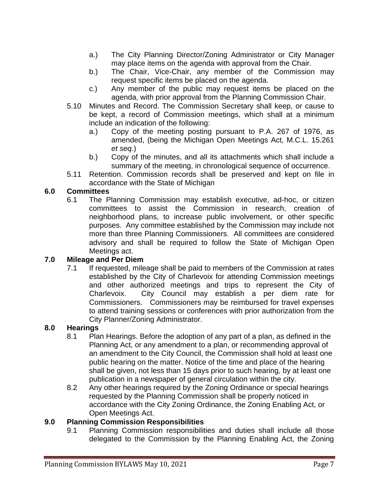- a.) The City Planning Director/Zoning Administrator or City Manager may place items on the agenda with approval from the Chair.
- b.) The Chair, Vice-Chair, any member of the Commission may request specific items be placed on the agenda.
- c.) Any member of the public may request items be placed on the agenda, with prior approval from the Planning Commission Chair.
- 5.10 Minutes and Record. The Commission Secretary shall keep, or cause to be kept, a record of Commission meetings, which shall at a minimum include an indication of the following:
	- a.) Copy of the meeting posting pursuant to P.A. 267 of 1976, as amended, (being the Michigan Open Meetings Act, M.C.L. 15.261 *et seq.*)
	- b.) Copy of the minutes, and all its attachments which shall include a summary of the meeting, in chronological sequence of occurrence.
- 5.11 Retention. Commission records shall be preserved and kept on file in accordance with the State of Michigan

### **6.0 Committees**

6.1 The Planning Commission may establish executive, ad-hoc, or citizen committees to assist the Commission in research, creation of neighborhood plans, to increase public involvement, or other specific purposes. Any committee established by the Commission may include not more than three Planning Commissioners. All committees are considered advisory and shall be required to follow the State of Michigan Open Meetings act.

### **7.0 Mileage and Per Diem**

7.1 If requested, mileage shall be paid to members of the Commission at rates established by the City of Charlevoix for attending Commission meetings and other authorized meetings and trips to represent the City of Charlevoix. City Council may establish a per diem rate for Commissioners. Commissioners may be reimbursed for travel expenses to attend training sessions or conferences with prior authorization from the City Planner/Zoning Administrator.

# **8.0 Hearings**

- 8.1 Plan Hearings. Before the adoption of any part of a plan, as defined in the Planning Act, or any amendment to a plan, or recommending approval of an amendment to the City Council, the Commission shall hold at least one public hearing on the matter. Notice of the time and place of the hearing shall be given, not less than 15 days prior to such hearing, by at least one publication in a newspaper of general circulation within the city.
- 8.2 Any other hearings required by the Zoning Ordinance or special hearings requested by the Planning Commission shall be properly noticed in accordance with the City Zoning Ordinance, the Zoning Enabling Act, or Open Meetings Act.

# **9.0 Planning Commission Responsibilities**

9.1 Planning Commission responsibilities and duties shall include all those delegated to the Commission by the Planning Enabling Act, the Zoning